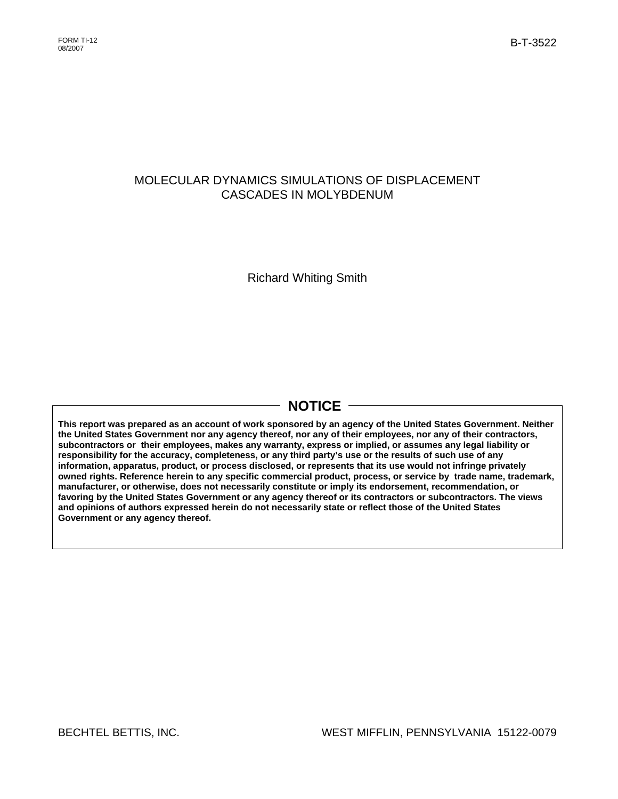## MOLECULAR DYNAMICS SIMULATIONS OF DISPLACEMENT CASCADES IN MOLYBDENUM

Richard Whiting Smith

# **NOTICE**

**This report was prepared as an account of work sponsored by an agency of the United States Government. Neither the United States Government nor any agency thereof, nor any of their employees, nor any of their contractors, subcontractors or their employees, makes any warranty, express or implied, or assumes any legal liability or responsibility for the accuracy, completeness, or any third party's use or the results of such use of any information, apparatus, product, or process disclosed, or represents that its use would not infringe privately owned rights. Reference herein to any specific commercial product, process, or service by trade name, trademark, manufacturer, or otherwise, does not necessarily constitute or imply its endorsement, recommendation, or favoring by the United States Government or any agency thereof or its contractors or subcontractors. The views and opinions of authors expressed herein do not necessarily state or reflect those of the United States Government or any agency thereof.**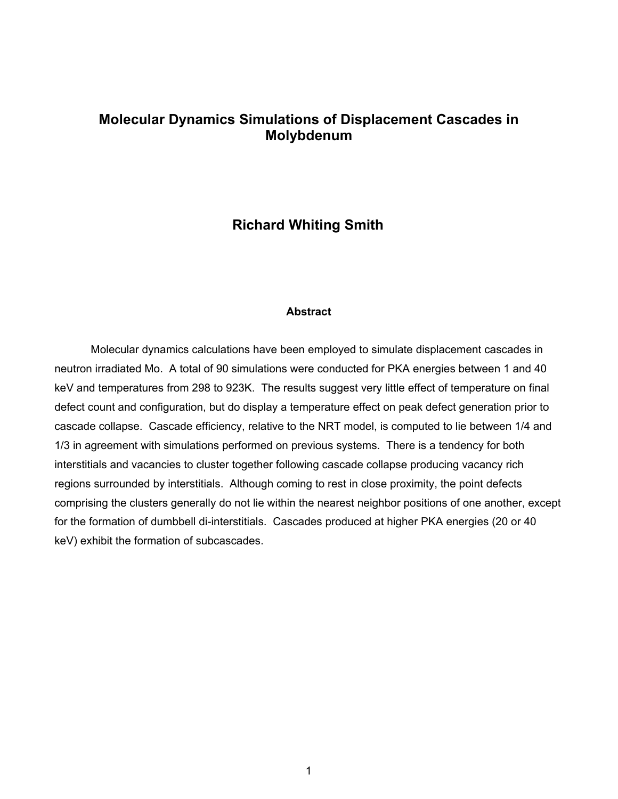## **Molecular Dynamics Simulations of Displacement Cascades in Molybdenum**

## **Richard Whiting Smith**

### **Abstract**

Molecular dynamics calculations have been employed to simulate displacement cascades in neutron irradiated Mo. A total of 90 simulations were conducted for PKA energies between 1 and 40 keV and temperatures from 298 to 923K. The results suggest very little effect of temperature on final defect count and configuration, but do display a temperature effect on peak defect generation prior to cascade collapse. Cascade efficiency, relative to the NRT model, is computed to lie between 1/4 and 1/3 in agreement with simulations performed on previous systems. There is a tendency for both interstitials and vacancies to cluster together following cascade collapse producing vacancy rich regions surrounded by interstitials. Although coming to rest in close proximity, the point defects comprising the clusters generally do not lie within the nearest neighbor positions of one another, except for the formation of dumbbell di-interstitials. Cascades produced at higher PKA energies (20 or 40 keV) exhibit the formation of subcascades.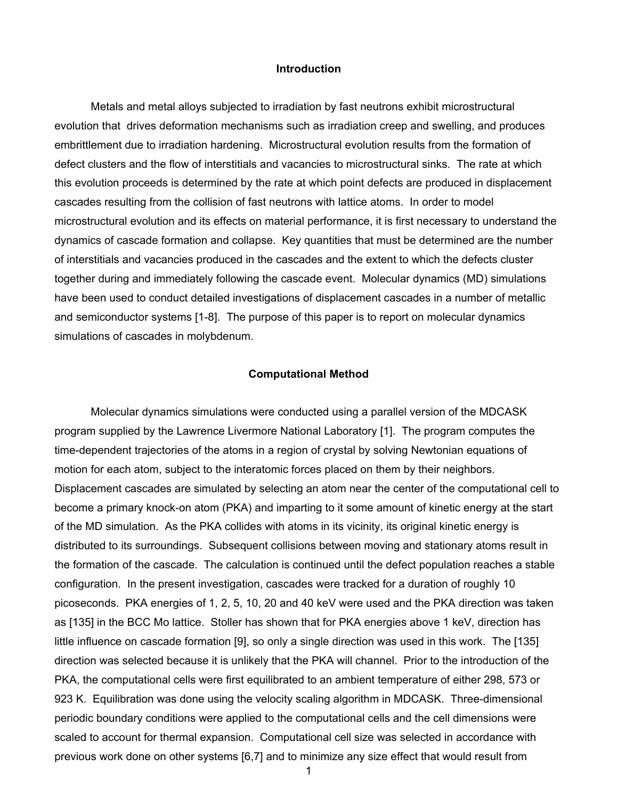## **Introduction**

Metals and metal alloys subjected to irradiation by fast neutrons exhibit microstructural evolution that drives deformation mechanisms such as irradiation creep and swelling, and produces embrittlement due to irradiation hardening. Microstructural evolution results from the formation of defect clusters and the flow of interstitials and vacancies to microstructural sinks. The rate at which this evolution proceeds is determined by the rate at which point defects are produced in displacement cascades resulting from the collision of fast neutrons with lattice atoms. In order to model microstructural evolution and its effects on material performance, it is first necessary to understand the dynamics of cascade formation and collapse. Key quantities that must be determined are the number of interstitials and vacancies produced in the cascades and the extent to which the defects cluster together during and immediately following the cascade event. Molecular dynamics (MD) simulations have been used to conduct detailed investigations of displacement cascades in a number of metallic and semiconductor systems [1-8]. The purpose of this paper is to report on molecular dynamics simulations of cascades in molybdenum.

#### **Computational Method**

Molecular dynamics simulations were conducted using a parallel version of the MDCASK program supplied by the Lawrence Livermore National Laboratory [1]. The program computes the time-dependent trajectories of the atoms in a region of crystal by solving Newtonian equations of motion for each atom, subject to the interatomic forces placed on them by their neighbors. Displacement cascades are simulated by selecting an atom near the center of the computational cell to become a primary knock-on atom (PKA) and imparting to it some amount of kinetic energy at the start of the MD simulation. As the PKA collides with atoms in its vicinity, its original kinetic energy is distributed to its surroundings. Subsequent collisions between moving and stationary atoms result in the formation of the cascade. The calculation is continued until the defect population reaches a stable configuration. In the present investigation, cascades were tracked for a duration of roughly 10 picoseconds. PKA energies of 1, 2, 5, 10, 20 and 40 keV were used and the PKA direction was taken as [135] in the BCC Mo lattice. Stoller has shown that for PKA energies above 1 keV, direction has little influence on cascade formation [9], so only a single direction was used in this work. The [135] direction was selected because it is unlikely that the PKA will channel. Prior to the introduction of the PKA, the computational cells were first equilibrated to an ambient temperature of either 298, 573 or 923 K. Equilibration was done using the velocity scaling algorithm in MDCASK. Three-dimensional periodic boundary conditions were applied to the computational cells and the cell dimensions were scaled to account for thermal expansion. Computational cell size was selected in accordance with previous work done on other systems [6,7] and to minimize any size effect that would result from

1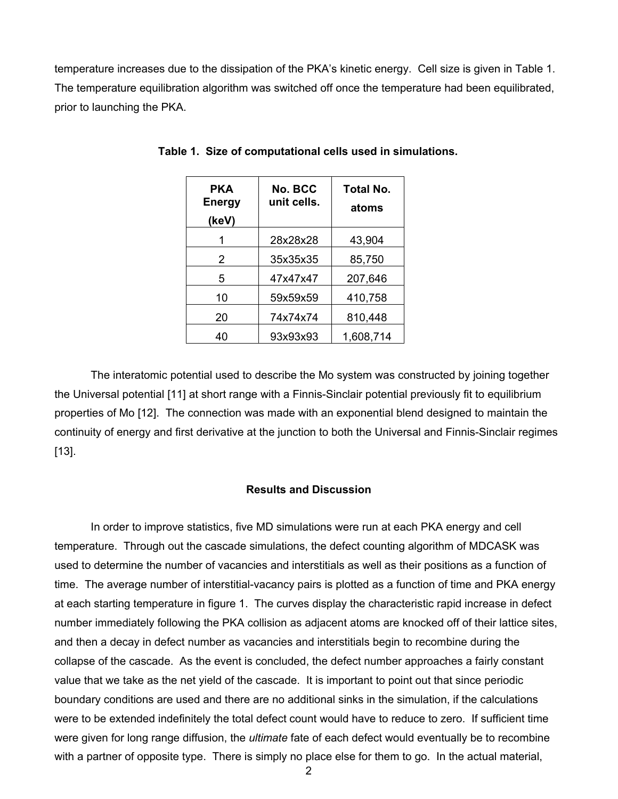temperature increases due to the dissipation of the PKA's kinetic energy. Cell size is given in Table 1. The temperature equilibration algorithm was switched off once the temperature had been equilibrated, prior to launching the PKA.

| PKA<br><b>Energy</b><br>(keV) | No. BCC<br>unit cells. | Total No.<br>atoms |  |  |
|-------------------------------|------------------------|--------------------|--|--|
|                               | 28x28x28               | 43,904             |  |  |
| 2                             | 35x35x35               | 85,750             |  |  |
| 5                             | 47x47x47               | 207,646            |  |  |
| 10                            | 59x59x59               | 410,758            |  |  |
| 20                            | 74x74x74               | 810,448            |  |  |
| 40                            | 93x93x93               | 1,608,714          |  |  |

**Table 1. Size of computational cells used in simulations.** 

The interatomic potential used to describe the Mo system was constructed by joining together the Universal potential [11] at short range with a Finnis-Sinclair potential previously fit to equilibrium properties of Mo [12]. The connection was made with an exponential blend designed to maintain the continuity of energy and first derivative at the junction to both the Universal and Finnis-Sinclair regimes [13].

## **Results and Discussion**

In order to improve statistics, five MD simulations were run at each PKA energy and cell temperature. Through out the cascade simulations, the defect counting algorithm of MDCASK was used to determine the number of vacancies and interstitials as well as their positions as a function of time. The average number of interstitial-vacancy pairs is plotted as a function of time and PKA energy at each starting temperature in figure 1. The curves display the characteristic rapid increase in defect number immediately following the PKA collision as adjacent atoms are knocked off of their lattice sites, and then a decay in defect number as vacancies and interstitials begin to recombine during the collapse of the cascade. As the event is concluded, the defect number approaches a fairly constant value that we take as the net yield of the cascade. It is important to point out that since periodic boundary conditions are used and there are no additional sinks in the simulation, if the calculations were to be extended indefinitely the total defect count would have to reduce to zero. If sufficient time were given for long range diffusion, the *ultimate* fate of each defect would eventually be to recombine with a partner of opposite type. There is simply no place else for them to go. In the actual material,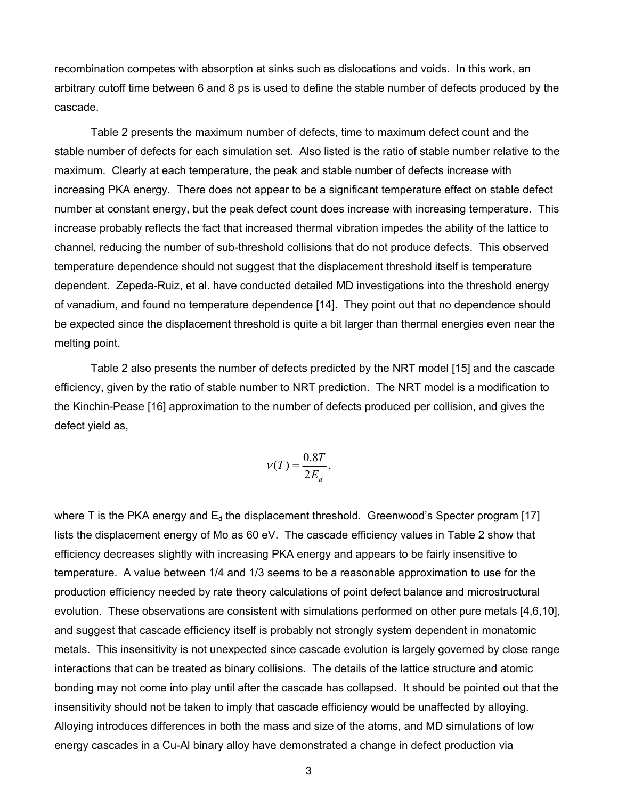recombination competes with absorption at sinks such as dislocations and voids. In this work, an arbitrary cutoff time between 6 and 8 ps is used to define the stable number of defects produced by the cascade.

Table 2 presents the maximum number of defects, time to maximum defect count and the stable number of defects for each simulation set. Also listed is the ratio of stable number relative to the maximum. Clearly at each temperature, the peak and stable number of defects increase with increasing PKA energy. There does not appear to be a significant temperature effect on stable defect number at constant energy, but the peak defect count does increase with increasing temperature. This increase probably reflects the fact that increased thermal vibration impedes the ability of the lattice to channel, reducing the number of sub-threshold collisions that do not produce defects. This observed temperature dependence should not suggest that the displacement threshold itself is temperature dependent. Zepeda-Ruiz, et al. have conducted detailed MD investigations into the threshold energy of vanadium, and found no temperature dependence [14]. They point out that no dependence should be expected since the displacement threshold is quite a bit larger than thermal energies even near the melting point.

Table 2 also presents the number of defects predicted by the NRT model [15] and the cascade efficiency, given by the ratio of stable number to NRT prediction. The NRT model is a modification to the Kinchin-Pease [16] approximation to the number of defects produced per collision, and gives the defect yield as,

$$
v(T) = \frac{0.8T}{2E_d},
$$

where T is the PKA energy and  $E_d$  the displacement threshold. Greenwood's Specter program [17] lists the displacement energy of Mo as 60 eV. The cascade efficiency values in Table 2 show that efficiency decreases slightly with increasing PKA energy and appears to be fairly insensitive to temperature. A value between 1/4 and 1/3 seems to be a reasonable approximation to use for the production efficiency needed by rate theory calculations of point defect balance and microstructural evolution. These observations are consistent with simulations performed on other pure metals [4,6,10], and suggest that cascade efficiency itself is probably not strongly system dependent in monatomic metals. This insensitivity is not unexpected since cascade evolution is largely governed by close range interactions that can be treated as binary collisions. The details of the lattice structure and atomic bonding may not come into play until after the cascade has collapsed. It should be pointed out that the insensitivity should not be taken to imply that cascade efficiency would be unaffected by alloying. Alloying introduces differences in both the mass and size of the atoms, and MD simulations of low energy cascades in a Cu-Al binary alloy have demonstrated a change in defect production via

3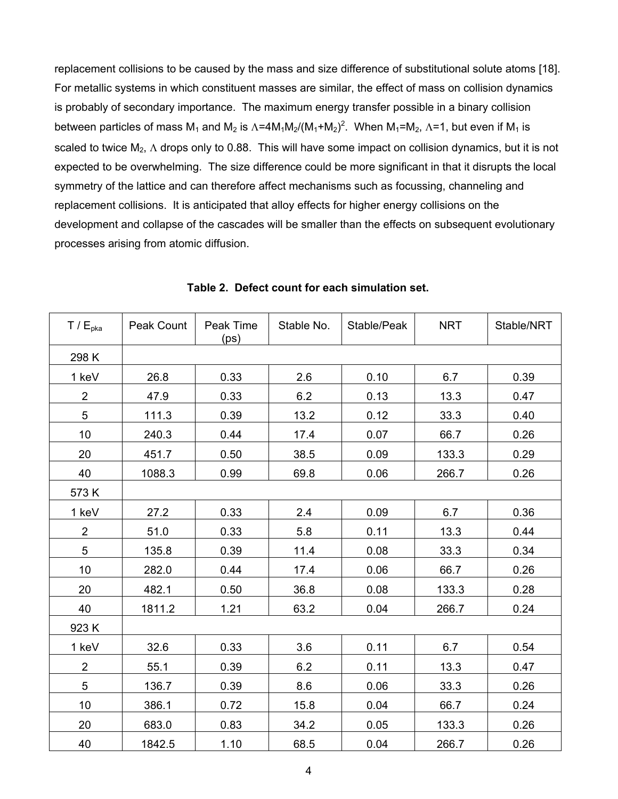replacement collisions to be caused by the mass and size difference of substitutional solute atoms [18]. For metallic systems in which constituent masses are similar, the effect of mass on collision dynamics is probably of secondary importance. The maximum energy transfer possible in a binary collision between particles of mass M<sub>1</sub> and M<sub>2</sub> is  $\Lambda$ =4M<sub>1</sub>M<sub>2</sub>/(M<sub>1</sub>+M<sub>2</sub>)<sup>2</sup>. When M<sub>1</sub>=M<sub>2</sub>,  $\Lambda$ =1, but even if M<sub>1</sub> is scaled to twice  $M_2$ ,  $\Lambda$  drops only to 0.88. This will have some impact on collision dynamics, but it is not expected to be overwhelming. The size difference could be more significant in that it disrupts the local symmetry of the lattice and can therefore affect mechanisms such as focussing, channeling and replacement collisions. It is anticipated that alloy effects for higher energy collisions on the development and collapse of the cascades will be smaller than the effects on subsequent evolutionary processes arising from atomic diffusion.

| T / E <sub>pka</sub> | Peak Count | Peak Time<br>(ps) | Stable No. | Stable/Peak | <b>NRT</b> | Stable/NRT |  |
|----------------------|------------|-------------------|------------|-------------|------------|------------|--|
| 298 K                |            |                   |            |             |            |            |  |
| 1 keV                | 26.8       | 0.33              | 2.6        | 0.10        | 6.7        | 0.39       |  |
| $\overline{2}$       | 47.9       | 0.33              | 6.2        | 0.13        | 13.3       | 0.47       |  |
| 5                    | 111.3      | 0.39              | 13.2       | 0.12        | 33.3       | 0.40       |  |
| 10                   | 240.3      | 0.44              | 17.4       | 0.07        | 66.7       | 0.26       |  |
| 20                   | 451.7      | 0.50              | 38.5       | 0.09        | 133.3      | 0.29       |  |
| 40                   | 1088.3     | 0.99              | 69.8       | 0.06        | 266.7      | 0.26       |  |
| 573K                 |            |                   |            |             |            |            |  |
| 1 keV                | 27.2       | 0.33              | 2.4        | 0.09        | 6.7        | 0.36       |  |
| $\overline{2}$       | 51.0       | 0.33              | 5.8        | 0.11        | 13.3       | 0.44       |  |
| 5                    | 135.8      | 0.39              | 11.4       | 0.08        | 33.3       | 0.34       |  |
| 10                   | 282.0      | 0.44              | 17.4       | 0.06        | 66.7       | 0.26       |  |
| 20                   | 482.1      | 0.50              | 36.8       | 0.08        | 133.3      | 0.28       |  |
| 40                   | 1811.2     | 1.21              | 63.2       | 0.04        | 266.7      | 0.24       |  |
| 923K                 |            |                   |            |             |            |            |  |
| 1 keV                | 32.6       | 0.33              | 3.6        | 0.11        | 6.7        | 0.54       |  |
| $\overline{2}$       | 55.1       | 0.39              | 6.2        | 0.11        | 13.3       | 0.47       |  |
| 5                    | 136.7      | 0.39              | 8.6        | 0.06        | 33.3       | 0.26       |  |
| 10                   | 386.1      | 0.72              | 15.8       | 0.04        | 66.7       | 0.24       |  |
| 20                   | 683.0      | 0.83              | 34.2       | 0.05        | 133.3      | 0.26       |  |
| 40                   | 1842.5     | 1.10              | 68.5       | 0.04        | 266.7      | 0.26       |  |

**Table 2. Defect count for each simulation set.**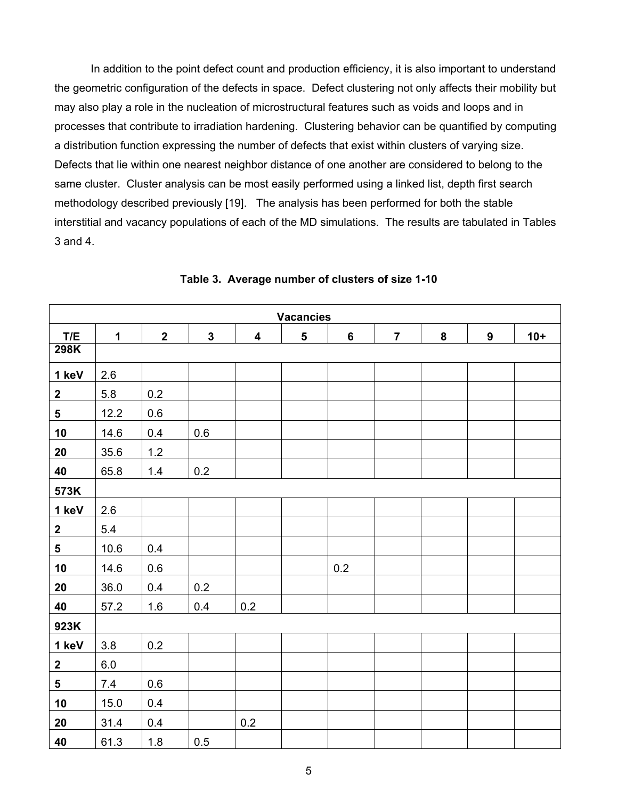In addition to the point defect count and production efficiency, it is also important to understand the geometric configuration of the defects in space. Defect clustering not only affects their mobility but may also play a role in the nucleation of microstructural features such as voids and loops and in processes that contribute to irradiation hardening. Clustering behavior can be quantified by computing a distribution function expressing the number of defects that exist within clusters of varying size. Defects that lie within one nearest neighbor distance of one another are considered to belong to the same cluster. Cluster analysis can be most easily performed using a linked list, depth first search methodology described previously [19]. The analysis has been performed for both the stable interstitial and vacancy populations of each of the MD simulations. The results are tabulated in Tables 3 and 4.

| <b>Vacancies</b> |             |                |              |                  |   |                |                |   |   |       |
|------------------|-------------|----------------|--------------|------------------|---|----------------|----------------|---|---|-------|
| T/E              | $\mathbf 1$ | $\overline{2}$ | $\mathbf{3}$ | $\boldsymbol{4}$ | 5 | $6\phantom{a}$ | $\overline{7}$ | 8 | 9 | $10+$ |
| 298K             |             |                |              |                  |   |                |                |   |   |       |
| 1 keV            | 2.6         |                |              |                  |   |                |                |   |   |       |
| $\boldsymbol{2}$ | 5.8         | 0.2            |              |                  |   |                |                |   |   |       |
| $5\phantom{.0}$  | 12.2        | 0.6            |              |                  |   |                |                |   |   |       |
| 10               | 14.6        | 0.4            | 0.6          |                  |   |                |                |   |   |       |
| 20               | 35.6        | $1.2$          |              |                  |   |                |                |   |   |       |
| 40               | 65.8        | 1.4            | 0.2          |                  |   |                |                |   |   |       |
| 573K             |             |                |              |                  |   |                |                |   |   |       |
| 1 keV            | 2.6         |                |              |                  |   |                |                |   |   |       |
| $\mathbf{2}$     | 5.4         |                |              |                  |   |                |                |   |   |       |
| $5\phantom{a}$   | 10.6        | 0.4            |              |                  |   |                |                |   |   |       |
| 10               | 14.6        | $0.6\,$        |              |                  |   | 0.2            |                |   |   |       |
| 20               | 36.0        | 0.4            | 0.2          |                  |   |                |                |   |   |       |
| 40               | 57.2        | 1.6            | 0.4          | 0.2              |   |                |                |   |   |       |
| 923K             |             |                |              |                  |   |                |                |   |   |       |
| 1 keV            | 3.8         | 0.2            |              |                  |   |                |                |   |   |       |
| $\mathbf 2$      | 6.0         |                |              |                  |   |                |                |   |   |       |
| $5\phantom{.0}$  | 7.4         | 0.6            |              |                  |   |                |                |   |   |       |
| 10               | 15.0        | 0.4            |              |                  |   |                |                |   |   |       |
| 20               | 31.4        | 0.4            |              | 0.2              |   |                |                |   |   |       |
| 40               | 61.3        | 1.8            | 0.5          |                  |   |                |                |   |   |       |

**Table 3. Average number of clusters of size 1-10**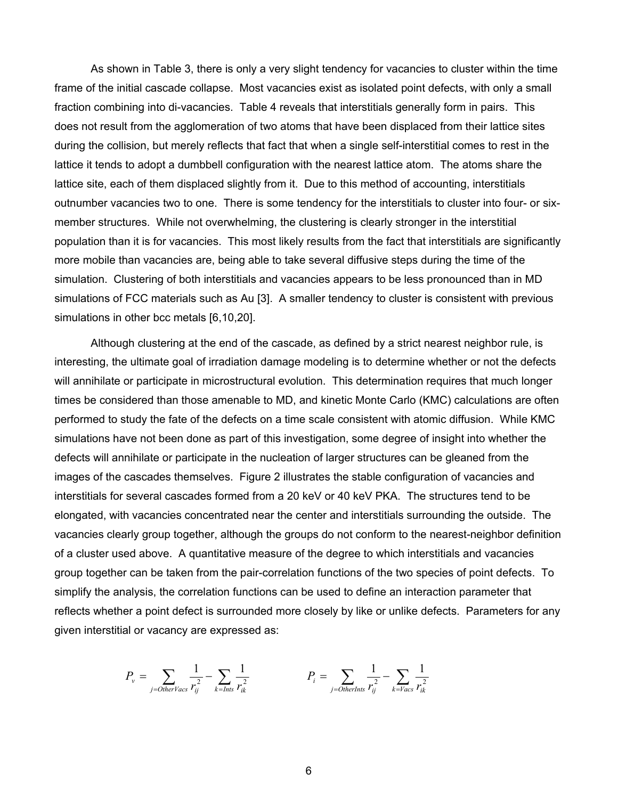As shown in Table 3, there is only a very slight tendency for vacancies to cluster within the time frame of the initial cascade collapse. Most vacancies exist as isolated point defects, with only a small fraction combining into di-vacancies. Table 4 reveals that interstitials generally form in pairs. This does not result from the agglomeration of two atoms that have been displaced from their lattice sites during the collision, but merely reflects that fact that when a single self-interstitial comes to rest in the lattice it tends to adopt a dumbbell configuration with the nearest lattice atom. The atoms share the lattice site, each of them displaced slightly from it. Due to this method of accounting, interstitials outnumber vacancies two to one. There is some tendency for the interstitials to cluster into four- or sixmember structures. While not overwhelming, the clustering is clearly stronger in the interstitial population than it is for vacancies. This most likely results from the fact that interstitials are significantly more mobile than vacancies are, being able to take several diffusive steps during the time of the simulation. Clustering of both interstitials and vacancies appears to be less pronounced than in MD simulations of FCC materials such as Au [3]. A smaller tendency to cluster is consistent with previous simulations in other bcc metals [6,10,20].

Although clustering at the end of the cascade, as defined by a strict nearest neighbor rule, is interesting, the ultimate goal of irradiation damage modeling is to determine whether or not the defects will annihilate or participate in microstructural evolution. This determination requires that much longer times be considered than those amenable to MD, and kinetic Monte Carlo (KMC) calculations are often performed to study the fate of the defects on a time scale consistent with atomic diffusion. While KMC simulations have not been done as part of this investigation, some degree of insight into whether the defects will annihilate or participate in the nucleation of larger structures can be gleaned from the images of the cascades themselves. Figure 2 illustrates the stable configuration of vacancies and interstitials for several cascades formed from a 20 keV or 40 keV PKA. The structures tend to be elongated, with vacancies concentrated near the center and interstitials surrounding the outside. The vacancies clearly group together, although the groups do not conform to the nearest-neighbor definition of a cluster used above. A quantitative measure of the degree to which interstitials and vacancies group together can be taken from the pair-correlation functions of the two species of point defects. To simplify the analysis, the correlation functions can be used to define an interaction parameter that reflects whether a point defect is surrounded more closely by like or unlike defects. Parameters for any given interstitial or vacancy are expressed as:

$$
P_{v} = \sum_{j=0 \text{therVacs}} \frac{1}{r_{ij}^{2}} - \sum_{k=Ints} \frac{1}{r_{ik}^{2}}
$$
\n
$$
P_{i} = \sum_{j=0 \text{therInts}} \frac{1}{r_{ij}^{2}} - \sum_{k=Vacs} \frac{1}{r_{ik}^{2}}
$$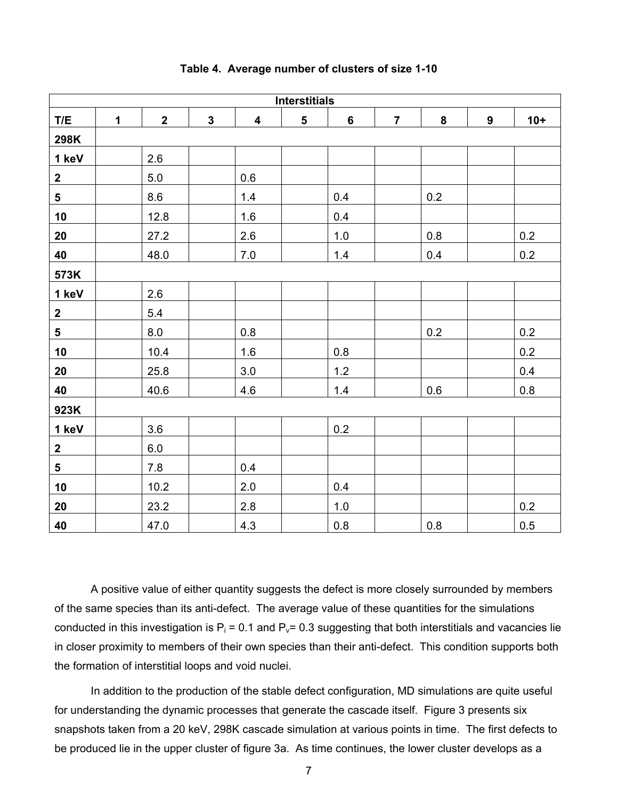| <b>Interstitials</b>    |              |                         |              |                         |   |         |                |         |                  |         |
|-------------------------|--------------|-------------------------|--------------|-------------------------|---|---------|----------------|---------|------------------|---------|
| T/E                     | $\mathbf{1}$ | $\overline{\mathbf{2}}$ | $\mathbf{3}$ | $\overline{\mathbf{4}}$ | 5 | $\bf 6$ | $\overline{7}$ | 8       | $\boldsymbol{9}$ | $10+$   |
| 298K                    |              |                         |              |                         |   |         |                |         |                  |         |
| 1 keV                   |              | 2.6                     |              |                         |   |         |                |         |                  |         |
| $\mathbf{2}$            |              | 5.0                     |              | 0.6                     |   |         |                |         |                  |         |
| $\overline{\mathbf{5}}$ |              | 8.6                     |              | 1.4                     |   | 0.4     |                | 0.2     |                  |         |
| 10                      |              | 12.8                    |              | 1.6                     |   | 0.4     |                |         |                  |         |
| 20                      |              | 27.2                    |              | 2.6                     |   | $1.0$   |                | 0.8     |                  | 0.2     |
| 40                      |              | 48.0                    |              | $7.0\,$                 |   | $1.4$   |                | 0.4     |                  | 0.2     |
| 573K                    |              |                         |              |                         |   |         |                |         |                  |         |
| 1 keV                   |              | 2.6                     |              |                         |   |         |                |         |                  |         |
| $\mathbf{2}$            |              | 5.4                     |              |                         |   |         |                |         |                  |         |
| $5\phantom{a}$          |              | 8.0                     |              | $0.8\,$                 |   |         |                | 0.2     |                  | $0.2\,$ |
| 10                      |              | 10.4                    |              | 1.6                     |   | 0.8     |                |         |                  | 0.2     |
| 20                      |              | 25.8                    |              | 3.0                     |   | $1.2$   |                |         |                  | 0.4     |
| 40                      |              | 40.6                    |              | 4.6                     |   | $1.4$   |                | 0.6     |                  | 0.8     |
| 923K                    |              |                         |              |                         |   |         |                |         |                  |         |
| 1 keV                   |              | 3.6                     |              |                         |   | 0.2     |                |         |                  |         |
| $\mathbf{2}$            |              | 6.0                     |              |                         |   |         |                |         |                  |         |
| $5\phantom{a}$          |              | 7.8                     |              | 0.4                     |   |         |                |         |                  |         |
| 10                      |              | 10.2                    |              | 2.0                     |   | 0.4     |                |         |                  |         |
| 20                      |              | 23.2                    |              | $2.8\,$                 |   | 1.0     |                |         |                  | $0.2\,$ |
| 40                      |              | 47.0                    |              | 4.3                     |   | $0.8\,$ |                | $0.8\,$ |                  | 0.5     |

## **Table 4. Average number of clusters of size 1-10**

A positive value of either quantity suggests the defect is more closely surrounded by members of the same species than its anti-defect. The average value of these quantities for the simulations conducted in this investigation is  $P_i = 0.1$  and  $P_v = 0.3$  suggesting that both interstitials and vacancies lie in closer proximity to members of their own species than their anti-defect. This condition supports both the formation of interstitial loops and void nuclei.

In addition to the production of the stable defect configuration, MD simulations are quite useful for understanding the dynamic processes that generate the cascade itself. Figure 3 presents six snapshots taken from a 20 keV, 298K cascade simulation at various points in time. The first defects to be produced lie in the upper cluster of figure 3a. As time continues, the lower cluster develops as a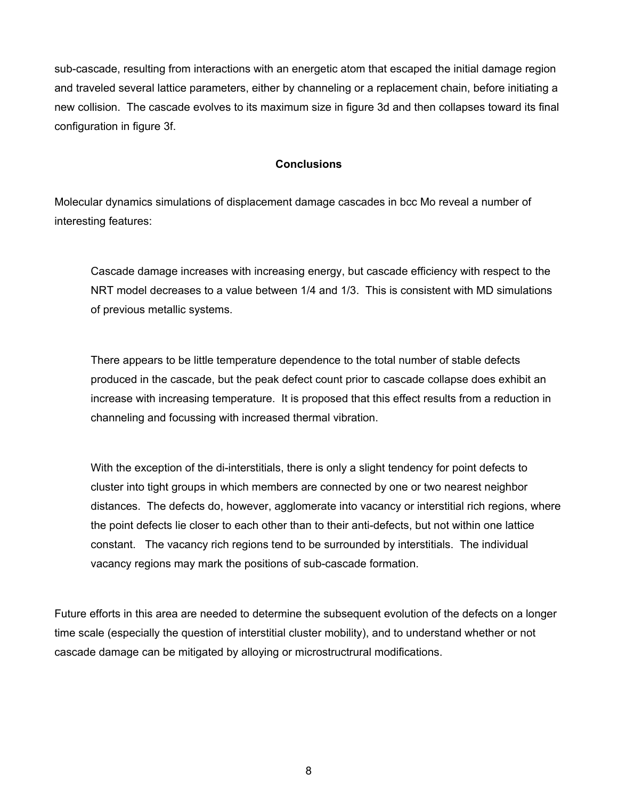sub-cascade, resulting from interactions with an energetic atom that escaped the initial damage region and traveled several lattice parameters, either by channeling or a replacement chain, before initiating a new collision. The cascade evolves to its maximum size in figure 3d and then collapses toward its final configuration in figure 3f.

## **Conclusions**

Molecular dynamics simulations of displacement damage cascades in bcc Mo reveal a number of interesting features:

Cascade damage increases with increasing energy, but cascade efficiency with respect to the NRT model decreases to a value between 1/4 and 1/3. This is consistent with MD simulations of previous metallic systems.

There appears to be little temperature dependence to the total number of stable defects produced in the cascade, but the peak defect count prior to cascade collapse does exhibit an increase with increasing temperature. It is proposed that this effect results from a reduction in channeling and focussing with increased thermal vibration.

With the exception of the di-interstitials, there is only a slight tendency for point defects to cluster into tight groups in which members are connected by one or two nearest neighbor distances. The defects do, however, agglomerate into vacancy or interstitial rich regions, where the point defects lie closer to each other than to their anti-defects, but not within one lattice constant. The vacancy rich regions tend to be surrounded by interstitials. The individual vacancy regions may mark the positions of sub-cascade formation.

Future efforts in this area are needed to determine the subsequent evolution of the defects on a longer time scale (especially the question of interstitial cluster mobility), and to understand whether or not cascade damage can be mitigated by alloying or microstructrural modifications.

8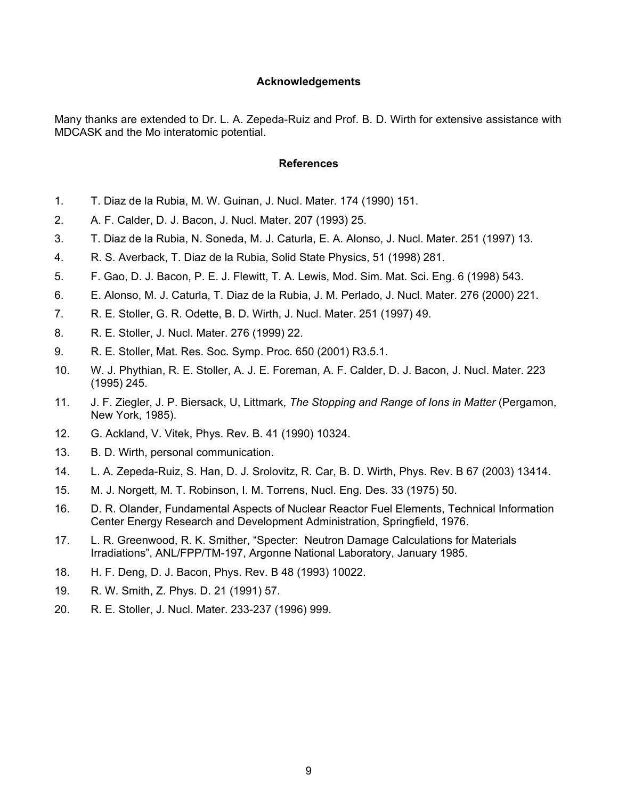### **Acknowledgements**

Many thanks are extended to Dr. L. A. Zepeda-Ruiz and Prof. B. D. Wirth for extensive assistance with MDCASK and the Mo interatomic potential.

## **References**

- 1. T. Diaz de la Rubia, M. W. Guinan, J. Nucl. Mater. 174 (1990) 151.
- 2. A. F. Calder, D. J. Bacon, J. Nucl. Mater. 207 (1993) 25.
- 3. T. Diaz de la Rubia, N. Soneda, M. J. Caturla, E. A. Alonso, J. Nucl. Mater. 251 (1997) 13.
- 4. R. S. Averback, T. Diaz de la Rubia, Solid State Physics, 51 (1998) 281.
- 5. F. Gao, D. J. Bacon, P. E. J. Flewitt, T. A. Lewis, Mod. Sim. Mat. Sci. Eng. 6 (1998) 543.
- 6. E. Alonso, M. J. Caturla, T. Diaz de la Rubia, J. M. Perlado, J. Nucl. Mater. 276 (2000) 221.
- 7. R. E. Stoller, G. R. Odette, B. D. Wirth, J. Nucl. Mater. 251 (1997) 49.
- 8. R. E. Stoller, J. Nucl. Mater. 276 (1999) 22.
- 9. R. E. Stoller, Mat. Res. Soc. Symp. Proc. 650 (2001) R3.5.1.
- 10. W. J. Phythian, R. E. Stoller, A. J. E. Foreman, A. F. Calder, D. J. Bacon, J. Nucl. Mater. 223 (1995) 245.
- 11. J. F. Ziegler, J. P. Biersack, U, Littmark, *The Stopping and Range of Ions in Matter* (Pergamon, New York, 1985).
- 12. G. Ackland, V. Vitek, Phys. Rev. B. 41 (1990) 10324.
- 13. B. D. Wirth, personal communication.
- 14. L. A. Zepeda-Ruiz, S. Han, D. J. Srolovitz, R. Car, B. D. Wirth, Phys. Rev. B 67 (2003) 13414.
- 15. M. J. Norgett, M. T. Robinson, I. M. Torrens, Nucl. Eng. Des. 33 (1975) 50.
- 16. D. R. Olander, Fundamental Aspects of Nuclear Reactor Fuel Elements, Technical Information Center Energy Research and Development Administration, Springfield, 1976.
- 17. L. R. Greenwood, R. K. Smither, "Specter: Neutron Damage Calculations for Materials Irradiations", ANL/FPP/TM-197, Argonne National Laboratory, January 1985.
- 18. H. F. Deng, D. J. Bacon, Phys. Rev. B 48 (1993) 10022.
- 19. R. W. Smith, Z. Phys. D. 21 (1991) 57.
- 20. R. E. Stoller, J. Nucl. Mater. 233-237 (1996) 999.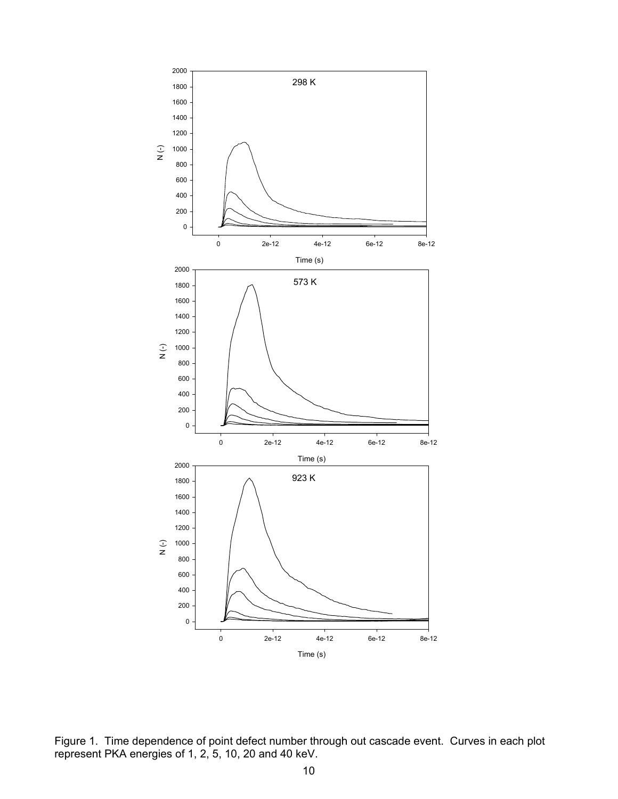

Figure 1. Time dependence of point defect number through out cascade event. Curves in each plot represent PKA energies of 1, 2, 5, 10, 20 and 40 keV.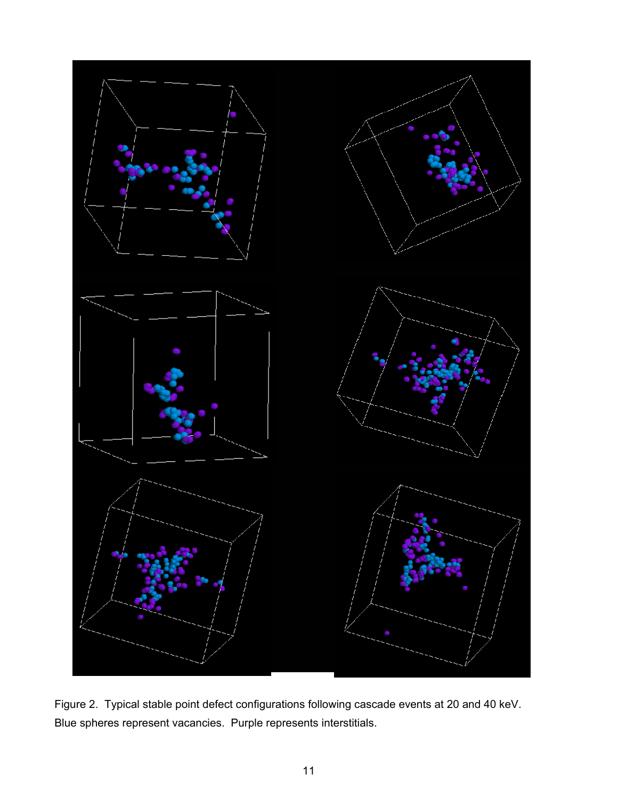

Figure 2. Typical stable point defect configurations following cascade events at 20 and 40 keV. Blue spheres represent vacancies. Purple represents interstitials.